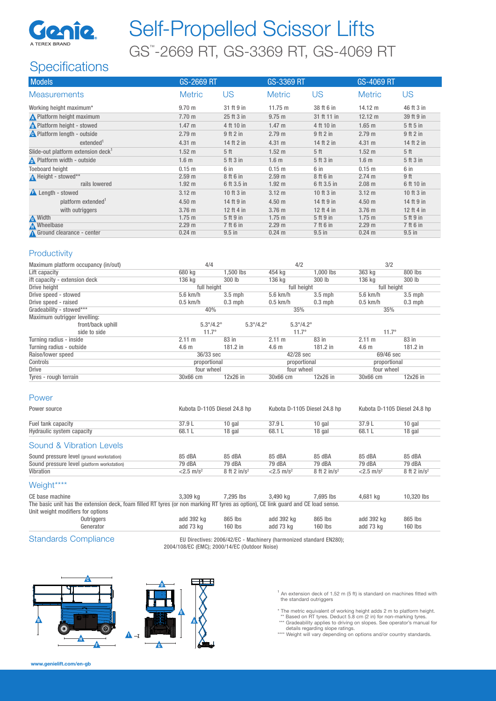

# Self-Propelled Scissor Lifts GS™ -2669 RT, GS-3369 RT, GS-4069 RT

## **Specifications**

| <b>Models</b>                                  | GS-2669 RT        |                 | GS-3369 RT        |                 | <b>GS-4069 RT</b> |                 |
|------------------------------------------------|-------------------|-----------------|-------------------|-----------------|-------------------|-----------------|
| <b>Measurements</b>                            | <b>Metric</b>     | US              | <b>Metric</b>     | US              | <b>Metric</b>     | US              |
| Working height maximum*                        | 9.70 <sub>m</sub> | 31 ft 9 in      | $11.75 \text{ m}$ | 38 ft 6 in      | 14.12 m           | 46 ft 3 in      |
| Platform height maximum                        | $7.70 \text{ m}$  | 25 ft 3 in      | 9.75 m            | 31 ft 11 in     | $12.12 \text{ m}$ | 39 ft 9 in      |
| <b>A</b> Platform height - stowed              | $1.47 \text{ m}$  | 4 ft 10 in      | $1.47 \text{ m}$  | 4 ft 10 in      | $1.65$ m          | 5 ft 5 in       |
| <b>A</b> Platform length - outside             | 2.79 <sub>m</sub> | $9$ ft $2$ in   | 2.79 m            | 9 ft 2 in       | 2.79 <sub>m</sub> | $9$ ft $2$ in   |
| extended <sup>1</sup>                          | 4.31 m            | 14 ft 2 in      | 4.31 m            | 14 ft 2 in      | 4.31 m            | 14 ft 2 in      |
| Slide-out platform extension deck <sup>1</sup> | 1.52 <sub>m</sub> | 5 <sup>th</sup> | $1.52 \text{ m}$  | 5 <sup>th</sup> | 1.52 <sub>m</sub> | 5 <sup>th</sup> |
| Platform width - outside                       | 1.6 <sub>m</sub>  | 5 ft 3 in       | 1.6 <sub>m</sub>  | 5 ft 3 in       | 1.6 <sub>m</sub>  | 5 ft 3 in       |
| <b>Toeboard height</b>                         | $0.15$ m          | 6 in            | $0.15$ m          | 6 in            | 0.15 <sub>m</sub> | 6 in            |
| Height - stowed**                              | 2.59 <sub>m</sub> | 8 ft 6 in       | $2.59$ m          | 8 ft 6 in       | 2.74 m            | 9 ft            |
| rails lowered                                  | $1.92 \text{ m}$  | 6 ft 3.5 in     | 1.92 m            | 6 ft 3.5 in     | $2.08$ m          | 6 ft 10 in      |
| <b>A</b> Length - stowed                       | $3.12 \text{ m}$  | 10 ft 3 in      | $3.12 \text{ m}$  | 10 ft 3 in      | $3.12 \text{ m}$  | 10 ft 3 in      |
| platform extended <sup>1</sup>                 | 4.50 <sub>m</sub> | 14 ft 9 in      | 4.50 <sub>m</sub> | 14 ft 9 in      | 4.50 <sub>m</sub> | 14 ft 9 in      |
| with outriggers                                | 3.76 m            | 12 ft 4 in      | $3.76$ m          | 12 ft 4 in      | 3.76 m            | 12 ft 4 in      |
| <b>A</b> Width                                 | $1.75$ m          | 5 ft 9 in       | $1.75$ m          | 5 ft 9 in       | $1.75$ m          | 5 ft 9 in       |
| <b>M</b> Wheelbase                             | 2.29 <sub>m</sub> | 7 ft 6 in       | 2.29 m            | 7 ft 6 in       | 2.29 <sub>m</sub> | 7 ft 6 in       |
| Ground clearance - center                      | $0.24$ m          | $9.5$ in        | $0.24 \text{ m}$  | $9.5$ in        | $0.24$ m          | $9.5$ in        |

### **Productivity**

| Maximum platform occupancy (in/out) | 4/4                       |                           | 4/2                       |            | 3/2              |           |
|-------------------------------------|---------------------------|---------------------------|---------------------------|------------|------------------|-----------|
| Lift capacity                       | 680 kg                    | 1.500 lbs                 | 454 kg                    | 1.000 lbs  | 363 kg           | 800 lbs   |
| ift capacity - extension deck       | 136 kg                    | 300 lb                    | 136 kg                    | 300 lb     | 136 kg           | 300 lb    |
| Drive height                        | full height               |                           | full height               |            | full height      |           |
| Drive speed - stowed                | $5.6$ km/h                | $3.5$ mph                 | $5.6$ km/h                | $3.5$ mph  | 5.6 km/h         | $3.5$ mph |
| Drive speed - raised                | $0.5$ km/h                | $0.3$ mph                 | $0.5$ km/h                | $0.3$ mph  | $0.5$ km/h       | $0.3$ mph |
| Gradeability - stowed***            | 40%                       |                           | 35%                       |            | 35%              |           |
| Maximum outrigger levelling:        |                           |                           |                           |            |                  |           |
| front/back uphill                   | $5.3^{\circ}/4.2^{\circ}$ | $5.3^{\circ}/4.2^{\circ}$ | $5.3^{\circ}/4.2^{\circ}$ |            |                  |           |
| side to side                        | $11.7^{\circ}$            |                           | $11.7^\circ$              |            | $11.7^{\circ}$   |           |
| Turning radius - inside             | $2.11 \text{ m}$          | 83 in                     | 2.11 m                    | 83 in      | $2.11 \text{ m}$ | 83 in     |
| Turning radius - outside            | 4.6 <sub>m</sub>          | $181.2$ in                | 4.6 <sub>m</sub>          | 181.2 in   | 4.6 <sub>m</sub> | 181.2 in  |
| Raise/lower speed                   | 36/33 sec                 |                           | 42/28 sec                 |            | 69/46 sec        |           |
| Controls                            | proportional              |                           | proportional              |            | proportional     |           |
| <b>Drive</b>                        | four wheel                |                           | four wheel                |            | four wheel       |           |
| Tyres - rough terrain               | 30x66 cm                  | 12x26 in                  | 30x66 cm                  | $12x26$ in | 30x66 cm         | 12x26 in  |

#### Power

| Power source                                |                          | Kubota D-1105 Diesel 24.8 hp |                             | Kubota D-1105 Diesel 24.8 hp |                                    | Kubota D-1105 Diesel 24.8 hp |  |
|---------------------------------------------|--------------------------|------------------------------|-----------------------------|------------------------------|------------------------------------|------------------------------|--|
| Fuel tank capacity                          | 37.9 L                   | 10 gal                       | 37.9L                       | $10$ gal                     | 37.9L                              | $10$ gal                     |  |
| Hydraulic system capacity                   | 68.1 L                   | 18 gal                       | 68.1 L                      | 18 gal                       | 68.1 L                             | 18 gal                       |  |
| Sound & Vibration Levels                    |                          |                              |                             |                              |                                    |                              |  |
| Sound pressure level (ground workstation)   | 85 dBA                   | 85 dBA                       | 85 dBA                      | 85 dBA                       | 85 dBA                             | 85 dBA                       |  |
| Sound pressure level (platform workstation) | 79 dBA                   | 79 dBA                       | 79 dBA                      | 79 dBA                       | 79 dBA                             | 79 dBA                       |  |
| Vibration                                   | $< 2.5$ m/s <sup>2</sup> | $8$ ft 2 in/ $s^2$           | $< 2.5$ m/s <sup>2</sup>    | $8$ ft 2 in/ $s^2$           | $<$ 2.5 m/s <sup>2</sup>           | $8$ ft 2 in/s <sup>2</sup>   |  |
| Weight****                                  |                          |                              |                             |                              |                                    |                              |  |
|                                             | 0.0001                   | - --- -                      | $\sim$ $\sim$ $\sim$ $\sim$ | - --- -                      | $\sim$ $\sim$ $\sim$ $\sim$ $\sim$ | 10000011                     |  |

CE base machine 3,309 kg 7,295 lbs 3,490 kg 7,695 lbs 4,681 kg 10,320 lbs The basic unit has the extension deck, foam filled RT tyres (or non marking RT tyres as option), CE link guard and CE load sense.

Unit weight modifiers for options Outriggers add 392 kg 865 lbs add 392 kg 865 lbs add 392 kg 865 lbs Generator add 73 kg 160 lbs add 73 kg 160 lbs add 73 kg 160 lbs

Standards Compliance FU Directives: 2006/42/EC - Machinery (harmonized standard EN280); 2004/108/EC (EMC); 2000/14/EC (Outdoor Noise)



- 1 An extension deck of 1.52 m (5 ft) is standard on machines fitted with the standard outriggers
- 
- \* The metric equivalent of working height adds 2 m to platform height. \*\* Based on RT tyres. Deduct 5.8 cm (2 in) for non-marking tyres.
- \*\*\* Gradeability applies to driving on slopes. See operator's manual for<br>details regarding slope ratings.<br>\*\*\*\* Weight will vary depending on options and/or country standards.
-